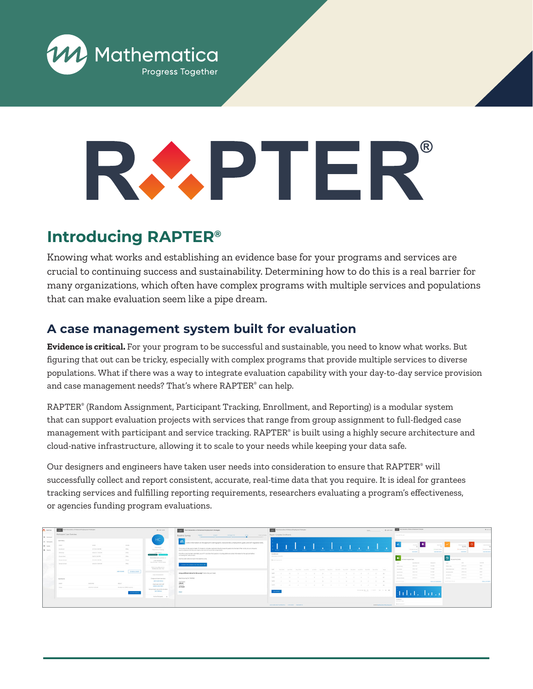

# **®**

# **Introducing RAPTER®**

Knowing what works and establishing an evidence base for your programs and services are crucial to continuing success and sustainability. Determining how to do this is a real barrier for many organizations, which often have complex programs with multiple services and populations that can make evaluation seem like a pipe dream.

## **A case management system built for evaluation**

**Evidence is critical.** For your program to be successful and sustainable, you need to know what works. But figuring that out can be tricky, especially with complex programs that provide multiple services to diverse populations. What if there was a way to integrate evaluation capability with your day-to-day service provision and case management needs? That's where RAPTER® can help.

RAPTER® (Random Assignment, Participant Tracking, Enrollment, and Reporting) is a modular system that can support evaluation projects with services that range from group assignment to full-fledged case management with participant and service tracking. RAPTER® is built using a highly secure architecture and cloud-native infrastructure, allowing it to scale to your needs while keeping your data safe.

Our designers and engineers have taken user needs into consideration to ensure that RAPTER® will successfully collect and report consistent, accurate, real-time data that you require. It is ideal for grantees tracking services and fulfilling reporting requirements, researchers evaluating a program's effectiveness, or agencies funding program evaluations.

| <b>C</b> ANTIA | <b>WINDS And Generation of Exhanced Emphroment Studenties</b> |                    |                                      | @ usersase                                                      | TYPES Next Generation of Enhanced Employment Strategies                                                                                                                                                                               | Next Generation of Enhanced Employment Strategies                                                        |                                      |                                                                                                                                                                                                                                                                                                                                                                                                                                                              | - @ joining                                                                                   |
|----------------|---------------------------------------------------------------|--------------------|--------------------------------------|-----------------------------------------------------------------|---------------------------------------------------------------------------------------------------------------------------------------------------------------------------------------------------------------------------------------|----------------------------------------------------------------------------------------------------------|--------------------------------------|--------------------------------------------------------------------------------------------------------------------------------------------------------------------------------------------------------------------------------------------------------------------------------------------------------------------------------------------------------------------------------------------------------------------------------------------------------------|-----------------------------------------------------------------------------------------------|
| 12 General     | Participant Case Overview                                     |                    |                                      |                                                                 | Participant Info<br><b>Service State</b><br>Intake Complete<br><b>Baseline Survey</b><br>_________<br>$\sim$                                                                                                                          | Report: Complete Enrollments                                                                             |                                      | Halla RAFTA user                                                                                                                                                                                                                                                                                                                                                                                                                                             |                                                                                               |
| All furnishes  | <b>BetHery</b>                                                |                    |                                      | m                                                               | ъ.<br>llect information on the applicant's demographic characteristics, employment, goals, and self-regulation skills.                                                                                                                |                                                                                                          |                                      |                                                                                                                                                                                                                                                                                                                                                                                                                                                              |                                                                                               |
| <b>12 Lame</b> | Fyind.                                                        | <b>WHEN</b>        | <b>Venditi</b>                       |                                                                 |                                                                                                                                                                                                                                       |                                                                                                          |                                      | <b>Brandwick</b>                                                                                                                                                                                                                                                                                                                                                                                                                                             | <b>Parties References</b><br>Engineering System<br>Arka Gerri                                 |
| the more       | Annivors                                                      | <b>SALVA SHEPM</b> | Office                               | Astronomy.<br>Hermina Crang                                     | This survey will take approximately 15 minutes to complete Applicants should arrow all questions to the best of their ability but can choose to<br>yillo any questions that they are unable or do not wish to provide a response for. | with with with with with with some with with with with with with the                                     |                                      | <b>Experience</b> 1                                                                                                                                                                                                                                                                                                                                                                                                                                          | <b>Management</b><br><b>MARKETS AND IN</b><br>Management of the local                         |
|                | <b>Windshire</b>                                              | ASSAM FROM JOE.    | Office.                              | CASE STATUS<br><b>TEAMPAGE AND LOCAL</b>                        | Once the summit has been submitted una will fill and a final mustains including additional contact information for the applicant before<br>completing the intelle process.                                                            | Enriferent                                                                                               |                                      | <b>STATISTICS</b>                                                                                                                                                                                                                                                                                                                                                                                                                                            | <b>START BURNING</b><br><b>VEN SPIERANT</b><br><b>VISITEN</b>                                 |
|                | Council Ave.                                                  | SAYS 300 PM        | Cities.                              | designment parts power as all                                   | Use the button before to learn? the baseline survey                                                                                                                                                                                   | <b>Mingdi metand 3.2 months:</b>                                                                         |                                      | $\begin{tabular}{ c c } \hline \multicolumn{1}{ c }{ \multicolumn{1}{ c }{ \multicolumn{1}{ c }{ \multicolumn{1}{ c }{ \multicolumn{1}{ c }{ \multicolumn{1}{ c }{ \multicolumn{1}{ c }{ \multicolumn{1}{ c }{ \multicolumn{1}{ c }{ \multicolumn{1}{ c }{ \multicolumn{1}{ c }{ \multicolumn{1}{ c }{ \multicolumn{1}{ c }{ \multicolumn{1}{ c }{ \multicolumn{1}{ c }{ \multicolumn{1}{ c }{ \multicolumn{1}{ c }{ \multicolumn{1}{ c }{ \multicolumn{1}{$ | Lincoln Land                                                                                  |
|                | Service Contact                                               | STUTE 100 PM       | Phone:                               | CASE INCIDENTS<br>Cate Maragar - Kendra Walder                  |                                                                                                                                                                                                                                       | El colorimo posterior                                                                                    |                                      | <b>MARINEZ AVE</b><br><b>CONTRACTOR</b>                                                                                                                                                                                                                                                                                                                                                                                                                      | <b>CONSTRUCTION</b><br><b>Service</b>                                                         |
|                | Service Contact                                               | 20319 1005 AM      | Cities.                              | <b>DANS Screenburghorn</b>                                      | LIGHTER SIMPLY ON THIS DEVICE                                                                                                                                                                                                         |                                                                                                          |                                      | pressure.<br><b>STATE</b><br><b>Service Trace</b>                                                                                                                                                                                                                                                                                                                                                                                                            | <b>STATISTICS</b><br><b>TOTAL</b><br><b>Burning</b>                                           |
|                |                                                               |                    | ADD COURSE<br><b>SCHEDULE DIDN'T</b> | Prefinal skill Jun, 1111.                                       |                                                                                                                                                                                                                                       | 944 Medica Aprilica Marizola Austria Artista Austria Service Gerzini Narzica Derzini Austria Medica News |                                      | Arrests.<br>presented.<br><b>The Color</b><br>ments.<br><b>SHOWS</b>                                                                                                                                                                                                                                                                                                                                                                                         | <b>Senior</b><br><b>Bullion Manager</b><br><b>STORY OF ALL A</b><br>companies and<br>Change 1 |
|                |                                                               |                    |                                      | CASE MANAGEMENT                                                 | Using a different device for the summit initial what you'll need.                                                                                                                                                                     | THE SECTION CONTINUES IN THE R. P. LEWIS CO., LANSING MICH.                                              |                                      | <b>Search College Co.</b><br><b>Arrival</b><br>When you is<br><b>With Color</b>                                                                                                                                                                                                                                                                                                                                                                              | the stations flow.<br>THE R<br>present<br>an home of                                          |
|                | Cas Reins                                                     |                    |                                      | Change participant care status                                  | Beatles survey for 2004/02                                                                                                                                                                                                            |                                                                                                          |                                      | Arrest Made<br><b>JOHN PLAT</b><br><b>Services beauty</b>                                                                                                                                                                                                                                                                                                                                                                                                    | Telephone<br>process and<br><b>And Support Co.</b>                                            |
|                | Putter                                                        | Contracting        | <b>REGALE</b>                        | <b>BDF CASE VINIVA</b><br><b>Balancea comp man</b>              | <b>Use Name</b><br>249339                                                                                                                                                                                                             |                                                                                                          |                                      | www.communication<br><b>WERE BUILDED BUFFICHER'S</b>                                                                                                                                                                                                                                                                                                                                                                                                         | The former Adviser<br><b>Williams</b> , Whitewitz                                             |
|                | <b>Industry</b>                                               | ASS19.1100 KH      | Breaked reas CM10, Imagellus         | ASSOCIATE CASE STATE                                            | Personnell<br><b>Address</b>                                                                                                                                                                                                          |                                                                                                          |                                      |                                                                                                                                                                                                                                                                                                                                                                                                                                                              |                                                                                               |
|                |                                                               |                    |                                      | Son participant care profits and details.<br><b>ROT PROFILE</b> | PRINT                                                                                                                                                                                                                                 | <b>AND REPORT</b>                                                                                        | <b>SHERRY W. LONG. R. C. S. St. </b> |                                                                                                                                                                                                                                                                                                                                                                                                                                                              |                                                                                               |
|                |                                                               |                    |                                      | Arrest Participants  . M.                                       |                                                                                                                                                                                                                                       |                                                                                                          |                                      |                                                                                                                                                                                                                                                                                                                                                                                                                                                              |                                                                                               |
|                |                                                               |                    |                                      |                                                                 |                                                                                                                                                                                                                                       |                                                                                                          |                                      | <b>Exchange</b>                                                                                                                                                                                                                                                                                                                                                                                                                                              |                                                                                               |
|                |                                                               |                    |                                      |                                                                 |                                                                                                                                                                                                                                       | UNIVERSITY/ORDER AND DEVELOP                                                                             | @ 2019 McDematrix Policy Reservity   | <b>Constitutional Constitution</b><br><b>Bondary Art II</b>                                                                                                                                                                                                                                                                                                                                                                                                  |                                                                                               |
|                |                                                               |                    |                                      |                                                                 |                                                                                                                                                                                                                                       |                                                                                                          |                                      |                                                                                                                                                                                                                                                                                                                                                                                                                                                              |                                                                                               |